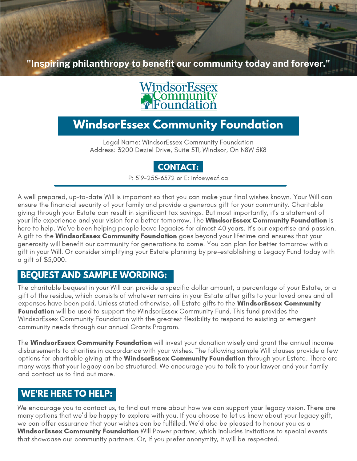**"Inspiring [philanthropy](http://www.wecf.ca/) to benefit our community today and forever."**

# WindsorEssex

## **WindsorEssex Community Foundation**

Legal Name: WindsorEssex Community Foundation Address: 3200 Deziel Drive, Suite 511, Windsor, On N8W 5K8

## **CONTACT:**

P: 519-255-6572 or E: info@wecf.ca

A well prepared, up-to-date Will is important so that you can make your final wishes known. Your Will can ensure the financial security of your family and provide a generous gift for your community. Charitable giving through your Estate can result in significant tax savings. But most importantly, it's a statement of your life experience and your vision for a better tomorrow. The **WindsorEssex Community Foundation** is here to help. We've been helping people leave legacies for almost 40 years. It's our expertise and passion. A gift to the **WindsorEssex Community Foundation** goes beyond your lifetime and ensures that your generosity will benefit our community for generations to come. You can plan for better tomorrow with a gift in your Will. Or consider simplifying your Estate planning by pre-establishing a Legacy Fund today with a gift of \$5,000.

## **BEQUEST AND SAMPLE WORDING:**

The charitable bequest in your Will can provide a specific dollar amount, a percentage of your Estate, or a gift of the residue, which consists of whatever remains in your Estate after gifts to your loved ones and all expenses have been paid. Unless stated otherwise, all Estate gifts to the WindsorEssex Community **Foundation** will be used to support the WindsorEssex Community Fund. This fund provides the WindsorEssex Community Foundation with the greatest flexibility to respond to existing or emergent community needs through our annual Grants Program.

The WindsorEssex Community Foundation will invest your donation wisely and grant the annual income disbursements to charities in accordance with your wishes. The following sample Will clauses provide a few options for charitable giving at the **WindsorEssex Community Foundation** through your Estate. There are many ways that your legacy can be structured. We encourage you to talk to your lawyer and your family and contact us to find out more.

## **WE'RE HERE TO HELP:**

We encourage you to contact us, to find out more about how we can support your legacy vision. There are many options that we'd be happy to explore with you. If you choose to let us know about your legacy gift, we can offer assurance that your wishes can be fulfilled. We'd also be pleased to honour you as a WindsorEssex Community Foundation Will Power partner, which includes invitations to special events that showcase our community partners. Or, if you prefer anonymity, it will be respected.